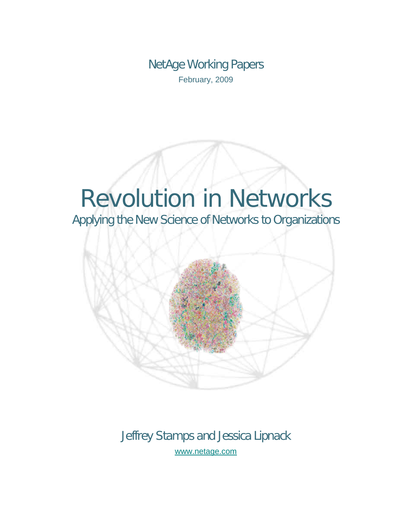NetAge Working Papers February, 2009

# Revolution in Networks

Applying the New Science of Networks to Organizations



Jeffrey Stamps and Jessica Lipnack [www.netage.com](http://www.netage.com/)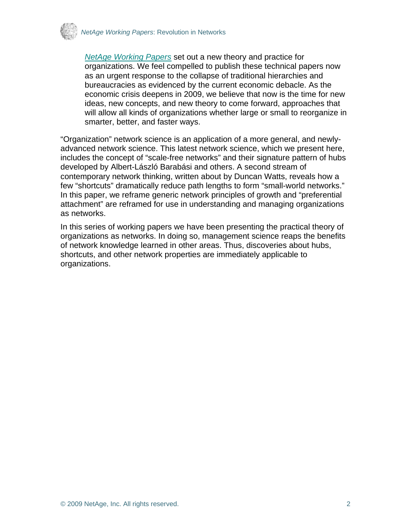

*[NetAge Working Papers](http://www.netage.com/pub/whpapers/index-white.html)* set out a new theory and practice for organizations. We feel compelled to publish these technical papers now as an urgent response to the collapse of traditional hierarchies and bureaucracies as evidenced by the current economic debacle. As the economic crisis deepens in 2009, we believe that now is the time for new ideas, new concepts, and new theory to come forward, approaches that will allow all kinds of organizations whether large or small to reorganize in smarter, better, and faster ways.

"Organization" network science is an application of a more general, and newlyadvanced network science. This latest network science, which we present here, includes the concept of "scale-free networks" and their signature pattern of hubs developed by Albert-László Barabási and others. A second stream of contemporary network thinking, written about by Duncan Watts, reveals how a few "shortcuts" dramatically reduce path lengths to form "small-world networks." In this paper, we reframe generic network principles of growth and "preferential attachment" are reframed for use in understanding and managing organizations as networks.

In this series of working papers we have been presenting the practical theory of organizations as networks. In doing so, management science reaps the benefits of network knowledge learned in other areas. Thus, discoveries about hubs, shortcuts, and other network properties are immediately applicable to organizations.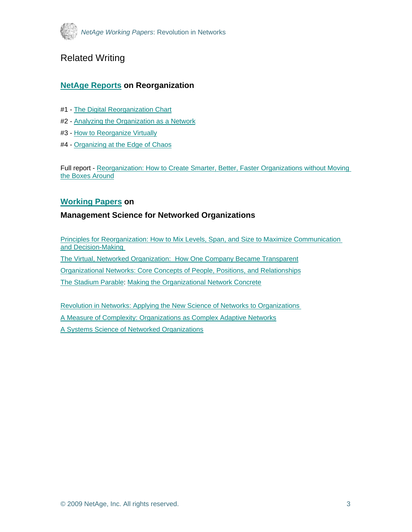

### Related Writing

#### **[NetAge Reports](http://www.netage.com/pub/whpapers/index-reports.html) on Reorganization**

- #1 - [The Digital Reorganization Chart](http://www.netage.com/pub/whpapers/NAReports/NARpt01_USGov-org.pdf)
- #2 - [Analyzing the Organization as a Network](http://www.netage.com/pub/whpapers/NAReports/NARpt02_USGov-anal.pdf)
- #3 - [How to Reorganize Virtually](http://www.netage.com/pub/whpapers/NAReports/NARpt03_USGov-reorg.pdf)
- #4 - [Organizing at the Edge of Chaos](http://www.netage.com/pub/whpapers/NAReports/NARpt04_org-at-edge.pdf)

Full report - [Reorganization: How to Create Smarter, Better, Faster Organizations without Moving](http://www.netage.com/pub/whpapers/NAReports/NARpt-vReorg_full.pdf)  [the Boxes Around](http://www.netage.com/pub/whpapers/NAReports/NARpt-vReorg_full.pdf)

#### **[Working Papers](http://www.netage.com/pub/whpapers/index-white.html) on**

#### **Management Science for Networked Organizations**

[Principles for Reorganization: How to Mix Levels, Span, and Size to Maximize Communication](http://www.netage.com/pub/whpapers/whpapers/WP_Principles-reorg.pdf)  [and Decision-Making](http://www.netage.com/pub/whpapers/whpapers/WP_Principles-reorg.pdf)  [The Virtual, Networked Organization: How One Company Became Transparent](http://www.netage.com/pub/articles/articles%20-%20new/Virtual%20Networked%20Org_pg-proof.pdf) [Organizational Networks: Core Concepts of People, Positions, and Relationships](http://www.netage.com/pub/whpapers/whpapers/WP_Core%20Concepts.pdf) [The Stadium Parable: Making the Organizational Network Concrete](http://www.netage.com/pub/articles/articles%20-%20new/Stadium-parable-doc_01Oct07.pdf)

[Revolution in Networks: Applying the New Science of Networks to Organizations](http://www.netage.com/pub/whpapers/whpapers/WP_Network%20Science.pdf)  [A Measure of Complexity: Organizations as Complex Adaptive Networks](http://www.netage.com/pub/whpapers/whpapers/WP_Complexity.pdf) [A Systems Science of Networked Organizations](http://www.netage.com/pub/whpapers/ISSS_2000.pdf)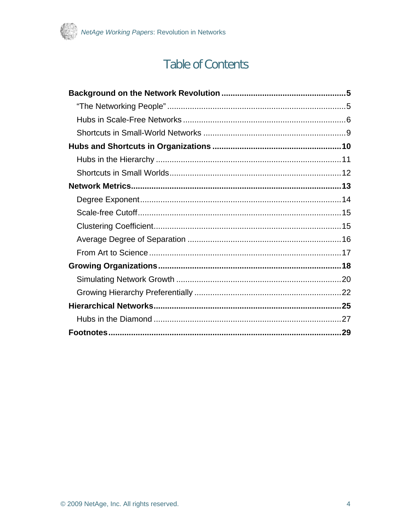

# **Table of Contents**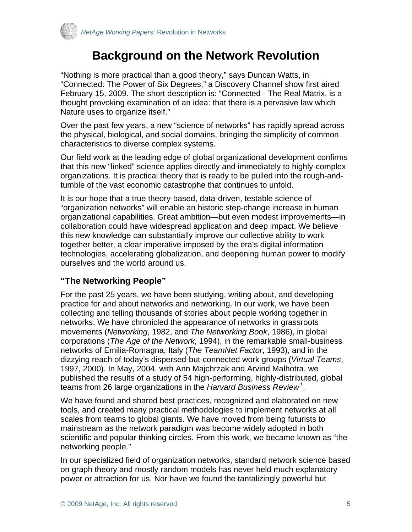<span id="page-4-0"></span>

# **Background on the Network Revolution**

"Nothing is more practical than a good theory," says Duncan Watts, in "Connected: The Power of Six Degrees," a Discovery Channel show first aired February 15, 2009. The short description is: "Connected - The Real Matrix, is a thought provoking examination of an idea: that there is a pervasive law which Nature uses to organize itself."

Over the past few years, a new "science of networks" has rapidly spread across the physical, biological, and social domains, bringing the simplicity of common characteristics to diverse complex systems.

Our field work at the leading edge of global organizational development confirms that this new "linked" science applies directly and immediately to highly-complex organizations. It is practical theory that is ready to be pulled into the rough-andtumble of the vast economic catastrophe that continues to unfold.

It is our hope that a true theory-based, data-driven, testable science of "organization networks" will enable an historic step-change increase in human organizational capabilities. Great ambition—but even modest improvements—in collaboration could have widespread application and deep impact. We believe this new knowledge can substantially improve our collective ability to work together better, a clear imperative imposed by the era's digital information technologies, accelerating globalization, and deepening human power to modify ourselves and the world around us.

### **"The Networking People"**

For the past 25 years, we have been studying, writing about, and developing practice for and about networks and networking. In our work, we have been collecting and telling thousands of stories about people working together in networks. We have chronicled the appearance of networks in grassroots movements (*Networking*, 1982, and *The Networking Book*, 1986), in global corporations (*The Age of the Network*, 1994), in the remarkable small-business networks of Emilia-Romagna, Italy (*The TeamNet Factor*, 1993), and in the dizzying reach of today's dispersed-but-connected work groups (*Virtual Teams*, 1997, 2000). In May, 2004, with [Ann Majchrzak](http://harvardbusinessonline.hbsp.harvard.edu/b01/en/search/searchResults.jhtml;jsessionid=R3DIK444DKSW4AKRGWDSELQ?Ntx=mode+matchallpartial&Ntk=Author%20Name&N=0&Ntt=Ann%20Majchrzak) and [Arvind Malhotra](http://harvardbusinessonline.hbsp.harvard.edu/b01/en/search/searchResults.jhtml;jsessionid=R3DIK444DKSW4AKRGWDSELQ?Ntx=mode+matchallpartial&Ntk=Author%20Name&N=0&Ntt=Arvind%20Malhotra), we published the results of a study of 54 high-performing, highly-distributed, global teams from 26 large organizations in the *Harvard Business Review[1](#page-28-1)* .

We have found and shared best practices, recognized and elaborated on new tools, and created many practical methodologies to implement networks at all scales from teams to global giants. We have moved from being futurists to mainstream as the network paradigm was become widely adopted in both scientific and popular thinking circles. From this work, we became known as "the networking people."

In our specialized field of organization networks, standard network science based on graph theory and mostly random models has never held much explanatory power or attraction for us. Nor have we found the tantalizingly powerful but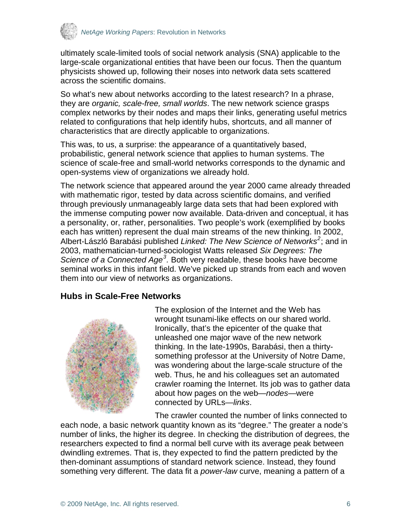<span id="page-5-0"></span>

ultimately scale-limited tools of social network analysis (SNA) applicable to the large-scale organizational entities that have been our focus. Then the quantum physicists showed up, following their noses into network data sets scattered across the scientific domains.

So what's new about networks according to the latest research? In a phrase, they are *organic, scale-free, small worlds*. The new network science grasps complex networks by their nodes and maps their links, generating useful metrics related to configurations that help identify hubs, shortcuts, and all manner of characteristics that are directly applicable to organizations.

This was, to us, a surprise: the appearance of a quantitatively based, probabilistic, general network science that applies to human systems. The science of scale-free and small-world networks corresponds to the dynamic and open-systems view of organizations we already hold.

The network science that appeared around the year 2000 came already threaded with mathematic rigor, tested by data across scientific domains, and verified through previously unmanageably large data sets that had been explored with the immense computing power now available. Data-driven and conceptual, it has a personality, or, rather, personalities. Two people's work (exemplified by books each has written) represent the dual main streams of the new thinking. In 2002, Albert-László Barabási published *Linked: The New Science of Networks[2](#page-28-2)* ; and in 2003, mathematician-turned-sociologist Watts released *Six Degrees: The*  Science of a Connected Age<sup>[3](#page-28-2)</sup>. Both very readable, these books have become seminal works in this infant field. We've picked up strands from each and woven them into our view of networks as organizations.

### **Hubs in Scale-Free Networks**



The explosion of the Internet and the Web has wrought tsunami-like effects on our shared world. Ironically, that's the epicenter of the quake that unleashed one major wave of the new network thinking. In the late-1990s, Barabási, then a thirtysomething professor at the University of Notre Dame, was wondering about the large-scale structure of the web. Thus, he and his colleagues set an automated crawler roaming the Internet. Its job was to gather data about how pages on the web—*nodes*—were connected by URLs—*links*.

The crawler counted the number of links connected to each node, a basic network quantity known as its "degree." The greater a node's number of links, the higher its degree. In checking the distribution of degrees, the researchers expected to find a normal bell curve with its average peak between dwindling extremes. That is, they expected to find the pattern predicted by the then-dominant assumptions of standard network science. Instead, they found something very different. The data fit a *power-law* curve, meaning a pattern of a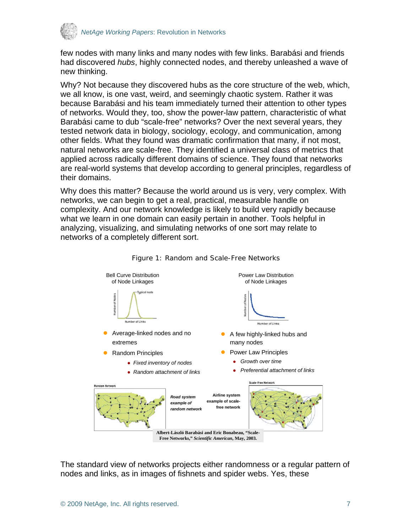

few nodes with many links and many nodes with few links. Barabási and friends had discovered *hubs*, highly connected nodes, and thereby unleashed a wave of new thinking.

Why? Not because they discovered hubs as the core structure of the web, which, we all know, is one vast, weird, and seemingly chaotic system. Rather it was because Barabási and his team immediately turned their attention to other types of networks. Would they, too, show the power-law pattern, characteristic of what Barabási came to dub "scale-free" networks? Over the next several years, they tested network data in biology, sociology, ecology, and communication, among other fields. What they found was dramatic confirmation that many, if not most, natural networks are scale-free. They identified a universal class of metrics that applied across radically different domains of science. They found that networks are real-world systems that develop according to general principles, regardless of their domains.

Why does this matter? Because the world around us is very, very complex. With networks, we can begin to get a real, practical, measurable handle on complexity. And our network knowledge is likely to build very rapidly because what we learn in one domain can easily pertain in another. Tools helpful in analyzing, visualizing, and simulating networks of one sort may relate to networks of a completely different sort.



#### Figure 1: Random and Scale-Free Networks

**Free Networks,"** *Scientific American***, May, 2003.**

The standard view of networks projects either randomness or a regular pattern of nodes and links, as in images of fishnets and spider webs. Yes, these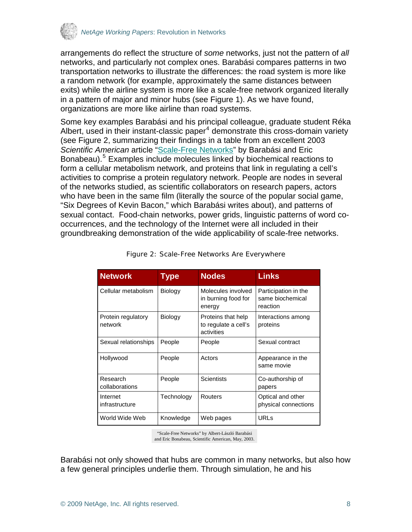

arrangements do reflect the structure of *some* networks, just not the pattern of *all* networks, and particularly not complex ones. Barabási compares patterns in two transportation networks to illustrate the differences: the road system is more like a random network (for example, approximately the same distances between exits) while the airline system is more like a scale-free network organized literally in a pattern of major and minor hubs (see Figure 1). As we have found, organizations are more like airline than road systems.

Some key examples Barabási and his principal colleague, graduate student Réka Albert, used in their instant-classic paper $4$  demonstrate this cross-domain variety (see Figure 2, summarizing their findings in a table from an excellent 2003 *Scientific American* article "[Scale-Free Networks"](http://www.barabasilab.com/pubs/CCNR-ALB_Publications/200305-01_SciAmer-ScaleFree/200305-01_SciAmer-ScaleFree.pdf) by Barabási and Eric Bonabeau).<sup>[5](#page-28-2)</sup> Examples include molecules linked by biochemical reactions to form a cellular metabolism network, and proteins that link in regulating a cell's activities to comprise a protein regulatory network. People are nodes in several of the networks studied, as scientific collaborators on research papers, actors who have been in the same film (literally the source of the popular social game, "Six Degrees of Kevin Bacon," which Barabási writes about), and patterns of sexual contact. Food-chain networks, power grids, linguistic patterns of word cooccurrences, and the technology of the Internet were all included in their groundbreaking demonstration of the wide applicability of scale-free networks.

| <b>Network</b>                | <b>Type</b> | <b>Nodes</b>                                             | <b>Links</b>                                         |
|-------------------------------|-------------|----------------------------------------------------------|------------------------------------------------------|
| Cellular metabolism           | Biology     | Molecules involved<br>in burning food for<br>energy      | Participation in the<br>same biochemical<br>reaction |
| Protein regulatory<br>network | Biology     | Proteins that help<br>to regulate a cell's<br>activities | Interactions among<br>proteins                       |
| Sexual relationships          | People      | People                                                   | Sexual contract                                      |
| Hollywood                     | People      | Actors                                                   | Appearance in the<br>same movie                      |
| Research<br>collaborations    | People      | <b>Scientists</b>                                        | Co-authorship of<br>papers                           |
| Internet<br>infrastructure    | Technology  | Routers                                                  | Optical and other<br>physical connections            |
| World Wide Web                | Knowledge   | Web pages                                                | URLs                                                 |

|  |  | Figure 2: Scale-Free Networks Are Everywhere |
|--|--|----------------------------------------------|
|  |  |                                              |

"Scale-Free Networks" by Albert-László Barabási and Eric Bonabeau, Scientific American, May, 2003.

Barabási not only showed that hubs are common in many networks, but also how a few general principles underlie them. Through simulation, he and his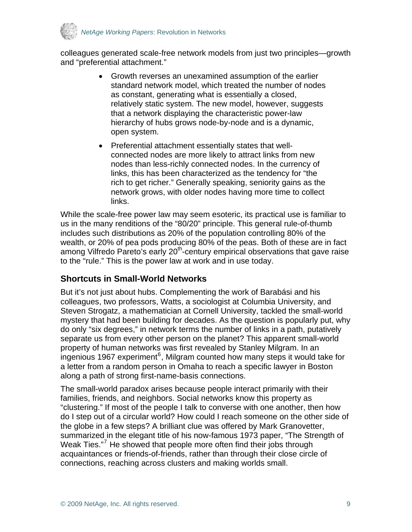<span id="page-8-0"></span>

colleagues generated scale-free network models from just two principles—growth and "preferential attachment."

- Growth reverses an unexamined assumption of the earlier standard network model, which treated the number of nodes as constant, generating what is essentially a closed, relatively static system. The new model, however, suggests that a network displaying the characteristic power-law hierarchy of hubs grows node-by-node and is a dynamic, open system.
- Preferential attachment essentially states that wellconnected nodes are more likely to attract links from new nodes than less-richly connected nodes. In the currency of links, this has been characterized as the tendency for "the rich to get richer." Generally speaking, seniority gains as the network grows, with older nodes having more time to collect links.

While the scale-free power law may seem esoteric, its practical use is familiar to us in the many renditions of the "80/20" principle. This general rule-of-thumb includes such distributions as 20% of the population controlling 80% of the wealth, or 20% of pea pods producing 80% of the peas. Both of these are in fact among Vilfredo Pareto's early 20<sup>th</sup>-century empirical observations that gave raise to the "rule." This is the power law at work and in use today.

### **Shortcuts in Small-World Networks**

But it's not just about hubs. Complementing the work of Barabási and his colleagues, two professors, Watts, a sociologist at Columbia University, and Steven Strogatz, a mathematician at Cornell University, tackled the small-world mystery that had been building for decades. As the question is popularly put, why do only "six degrees," in network terms the number of links in a path, putatively separate us from every other person on the planet? This apparent small-world property of human networks was first revealed by Stanley Milgram. In an  $\overline{a}$  ingenious 19[6](#page-28-2)7 experiment<sup>6</sup>, Milgram counted how many steps it would take for a letter from a random person in Omaha to reach a specific lawyer in Boston along a path of strong first-name-basis connections.

The small-world paradox arises because people interact primarily with their families, friends, and neighbors. Social networks know this property as "clustering." If most of the people I talk to converse with one another, then how do I step out of a circular world? How could I reach someone on the other side of the globe in a few steps? A brilliant clue was offered by Mark Granovetter, summarized in the elegant title of his now-famous 1973 paper, "The Strength of Weak Ties."<sup>[7](#page-28-2)</sup> He showed that people more often find their jobs through acquaintances or friends-of-friends, rather than through their close circle of connections, reaching across clusters and making worlds small.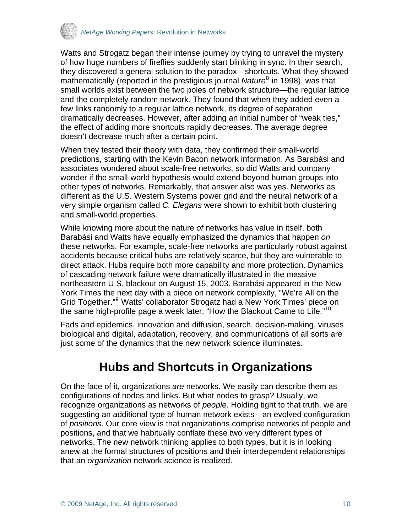<span id="page-9-0"></span>

Watts and Strogatz began their intense journey by trying to unravel the mystery of how huge numbers of fireflies suddenly start blinking in sync. In their search, they discovered a general solution to the paradox—shortcuts. What they showed mathematically (reported in the prestigious journal *Nature*[8](#page-28-2) in 1998), was that small worlds exist between the two poles of network structure—the regular lattice and the completely random network. They found that when they added even a few links randomly to a regular lattice network, its degree of separation dramatically decreases. However, after adding an initial number of "weak ties," the effect of adding more shortcuts rapidly decreases. The average degree doesn't decrease much after a certain point.

When they tested their theory with data, they confirmed their small-world predictions, starting with the Kevin Bacon network information. As Barabási and associates wondered about scale-free networks, so did Watts and company wonder if the small-world hypothesis would extend beyond human groups into other types of networks. Remarkably, that answer also was yes. Networks as different as the U.S. Western Systems power grid and the neural network of a very simple organism called *C. Elegans* were shown to exhibit both clustering and small-world properties.

While knowing more about the nature *of* networks has value in itself, both Barabási and Watts have equally emphasized the dynamics that happen *on* these networks. For example, scale-free networks are particularly robust against accidents because critical hubs are relatively scarce, but they are vulnerable to direct attack. Hubs require both more capability and more protection. Dynamics of cascading network failure were dramatically illustrated in the massive northeastern U.S. blackout on August 15, 2003. Barabási appeared in the New York Times the next day with a piece on network complexity, "We're All on the Grid Together."<sup>[9](#page-28-2)</sup> Watts' collaborator Strogatz had a New York Times' piece on the same high-profile page a week later, "How the Blackout Came to Life."<sup>[10](#page-28-2)</sup>

Fads and epidemics, innovation and diffusion, search, decision-making, viruses biological and digital, adaptation, recovery, and communications of all sorts are just some of the dynamics that the new network science illuminates.

# **Hubs and Shortcuts in Organizations**

On the face of it, organizations *are* networks. We easily can describe them as configurations of nodes and links. But what nodes to grasp? Usually, we recognize organizations as networks of *people*. Holding tight to that truth, we are suggesting an additional type of human network exists—an evolved configuration of *positions*. Our core view is that organizations comprise networks of people and positions, and that we habitually conflate these two very different types of networks. The new network thinking applies to both types, but it is in looking anew at the formal structures of positions and their interdependent relationships that an *organization* network science is realized.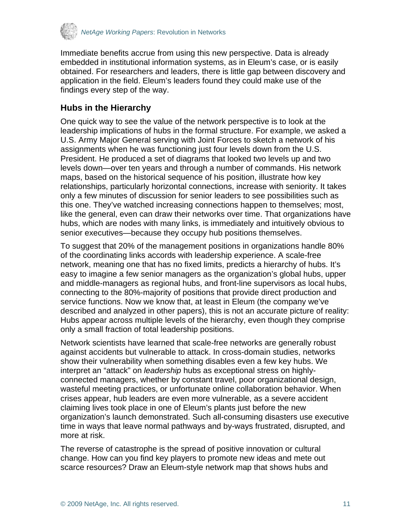<span id="page-10-0"></span>

Immediate benefits accrue from using this new perspective. Data is already embedded in institutional information systems, as in Eleum's case, or is easily obtained. For researchers and leaders, there is little gap between discovery and application in the field. Eleum's leaders found they could make use of the findings every step of the way.

### **Hubs in the Hierarchy**

One quick way to see the value of the network perspective is to look at the leadership implications of hubs in the formal structure. For example, we asked a U.S. Army Major General serving with Joint Forces to sketch a network of his assignments when he was functioning just four levels down from the U.S. President. He produced a set of diagrams that looked two levels up and two levels down—over ten years and through a number of commands. His network maps, based on the historical sequence of his position, illustrate how key relationships, particularly horizontal connections, increase with seniority. It takes only a few minutes of discussion for senior leaders to see possibilities such as this one. They've watched increasing connections happen to themselves; most, like the general, even can draw their networks over time. That organizations have hubs, which are nodes with many links, is immediately and intuitively obvious to senior executives—because they occupy hub positions themselves.

To suggest that 20% of the management positions in organizations handle 80% of the coordinating links accords with leadership experience. A scale-free network, meaning one that has no fixed limits, predicts a hierarchy of hubs. It's easy to imagine a few senior managers as the organization's global hubs, upper and middle-managers as regional hubs, and front-line supervisors as local hubs, connecting to the 80%-majority of positions that provide direct production and service functions. Now we know that, at least in Eleum (the company we've described and analyzed in other papers), this is not an accurate picture of reality: Hubs appear across multiple levels of the hierarchy, even though they comprise only a small fraction of total leadership positions.

Network scientists have learned that scale-free networks are generally robust against accidents but vulnerable to attack. In cross-domain studies, networks show their vulnerability when something disables even a few key hubs. We interpret an "attack" on *leadership* hubs as exceptional stress on highlyconnected managers, whether by constant travel, poor organizational design, wasteful meeting practices, or unfortunate online collaboration behavior. When crises appear, hub leaders are even more vulnerable, as a severe accident claiming lives took place in one of Eleum's plants just before the new organization's launch demonstrated. Such all-consuming disasters use executive time in ways that leave normal pathways and by-ways frustrated, disrupted, and more at risk.

The reverse of catastrophe is the spread of positive innovation or cultural change. How can you find key players to promote new ideas and mete out scarce resources? Draw an Eleum-style network map that shows hubs and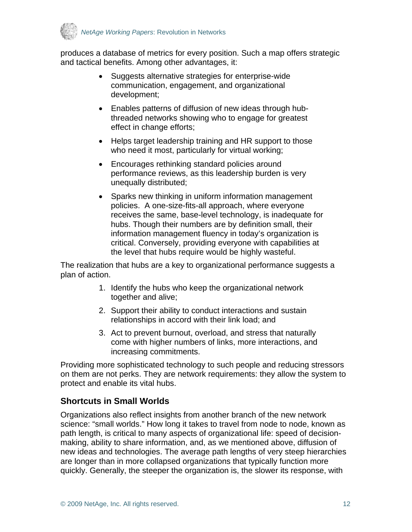<span id="page-11-0"></span>

produces a database of metrics for every position. Such a map offers strategic and tactical benefits. Among other advantages, it:

- Suggests alternative strategies for enterprise-wide communication, engagement, and organizational development;
- Enables patterns of diffusion of new ideas through hubthreaded networks showing who to engage for greatest effect in change efforts;
- Helps target leadership training and HR support to those who need it most, particularly for virtual working;
- Encourages rethinking standard policies around performance reviews, as this leadership burden is very unequally distributed;
- Sparks new thinking in uniform information management policies. A one-size-fits-all approach, where everyone receives the same, base-level technology, is inadequate for hubs. Though their numbers are by definition small, their information management fluency in today's organization is critical. Conversely, providing everyone with capabilities at the level that hubs require would be highly wasteful.

The realization that hubs are a key to organizational performance suggests a plan of action.

- 1. Identify the hubs who keep the organizational network together and alive;
- 2. Support their ability to conduct interactions and sustain relationships in accord with their link load; and
- 3. Act to prevent burnout, overload, and stress that naturally come with higher numbers of links, more interactions, and increasing commitments.

Providing more sophisticated technology to such people and reducing stressors on them are not perks. They are network requirements: they allow the system to protect and enable its vital hubs.

### **Shortcuts in Small Worlds**

Organizations also reflect insights from another branch of the new network science: "small worlds." How long it takes to travel from node to node, known as path length, is critical to many aspects of organizational life: speed of decisionmaking, ability to share information, and, as we mentioned above, diffusion of new ideas and technologies. The average path lengths of very steep hierarchies are longer than in more collapsed organizations that typically function more quickly. Generally, the steeper the organization is, the slower its response, with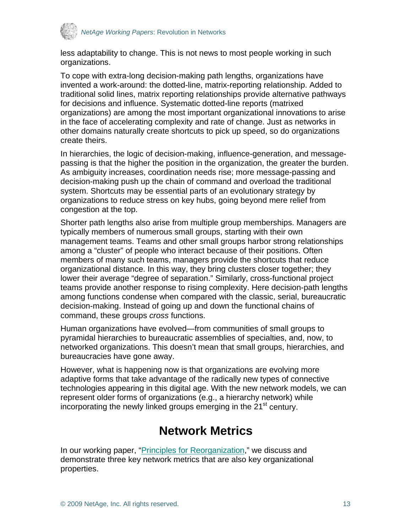<span id="page-12-0"></span>

less adaptability to change. This is not news to most people working in such organizations.

To cope with extra-long decision-making path lengths, organizations have invented a work-around: the dotted-line, matrix-reporting relationship. Added to traditional solid lines, matrix reporting relationships provide alternative pathways for decisions and influence. Systematic dotted-line reports (matrixed organizations) are among the most important organizational innovations to arise in the face of accelerating complexity and rate of change. Just as networks in other domains naturally create shortcuts to pick up speed, so do organizations create theirs.

In hierarchies, the logic of decision-making, influence-generation, and messagepassing is that the higher the position in the organization, the greater the burden. As ambiguity increases, coordination needs rise; more message-passing and decision-making push up the chain of command and overload the traditional system. Shortcuts may be essential parts of an evolutionary strategy by organizations to reduce stress on key hubs, going beyond mere relief from congestion at the top.

Shorter path lengths also arise from multiple group memberships. Managers are typically members of numerous small groups, starting with their own management teams. Teams and other small groups harbor strong relationships among a "cluster" of people who interact because of their positions. Often members of many such teams, managers provide the shortcuts that reduce organizational distance. In this way, they bring clusters closer together; they lower their average "degree of separation." Similarly, cross-functional project teams provide another response to rising complexity. Here decision-path lengths among functions condense when compared with the classic, serial, bureaucratic decision-making. Instead of going up and down the functional chains of command, these groups *cross* functions.

Human organizations have evolved—from communities of small groups to pyramidal hierarchies to bureaucratic assemblies of specialties, and, now, to networked organizations. This doesn't mean that small groups, hierarchies, and bureaucracies have gone away.

However, what is happening now is that organizations are evolving more adaptive forms that take advantage of the radically new types of connective technologies appearing in this digital age. With the new network models, we can represent older forms of organizations (e.g., a hierarchy network) while incorporating the newly linked groups emerging in the 21<sup>st</sup> century.

# **Network Metrics**

In our working paper, ["Principles for Reorganization](http://www.netage.com/pub/whpapers/whpapers/WP_Principles-reorg.pdf)," we discuss and demonstrate three key network metrics that are also key organizational properties.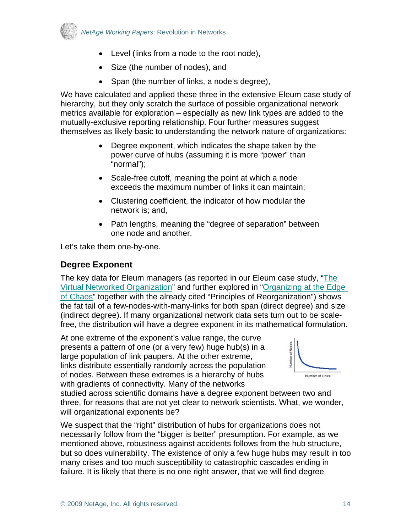<span id="page-13-0"></span>

- Level (links from a node to the root node),
- Size (the number of nodes), and
- Span (the number of links, a node's degree),

We have calculated and applied these three in the extensive Eleum case study of hierarchy, but they only scratch the surface of possible organizational network metrics available for exploration – especially as new link types are added to the mutually-exclusive reporting relationship. Four further measures suggest themselves as likely basic to understanding the network nature of organizations:

- Degree exponent, which indicates the shape taken by the power curve of hubs (assuming it is more "power" than "normal");
- Scale-free cutoff, meaning the point at which a node exceeds the maximum number of links it can maintain;
- Clustering coefficient, the indicator of how modular the network is; and,
- Path lengths, meaning the "degree of separation" between one node and another.

Let's take them one-by-one.

### **Degree Exponent**

The key data for Eleum managers (as reported in our Eleum case study, "[The](http://www.netage.com/pub/articles/articles%20-%20new/Virtual%20Networked%20Org_pg-proof.pdfhttp:/www.netage.com/pub/articles/articles%20-%20new/Virtual%20Networked%20Org_pg-proof.pdf)  [Virtual Networked Organization](http://www.netage.com/pub/articles/articles%20-%20new/Virtual%20Networked%20Org_pg-proof.pdfhttp:/www.netage.com/pub/articles/articles%20-%20new/Virtual%20Networked%20Org_pg-proof.pdf)" and further explored in "[Organizing at the Edge](http://www.netage.com/pub/whpapers/NAReports/NARpt04_org-at-edge.pdf)  [of Chaos](http://www.netage.com/pub/whpapers/NAReports/NARpt04_org-at-edge.pdf)" together with the already cited "Principles of Reorganization") shows the fat tail of a few-nodes-with-many-links for both span (direct degree) and size (indirect degree). If many organizational network data sets turn out to be scalefree, the distribution will have a degree exponent in its mathematical formulation.

At one extreme of the exponent's value range, the curve presents a pattern of one (or a very few) huge hub(s) in a large population of link paupers. At the other extreme, links distribute essentially randomly across the population of nodes. Between these extremes is a hierarchy of hubs with gradients of connectivity. Many of the networks



studied across scientific domains have a degree exponent between two and three, for reasons that are not yet clear to network scientists. What, we wonder, will organizational exponents be?

We suspect that the "right" distribution of hubs for organizations does not necessarily follow from the "bigger is better" presumption. For example, as we mentioned above, robustness against accidents follows from the hub structure, but so does vulnerability. The existence of only a few huge hubs may result in too many crises and too much susceptibility to catastrophic cascades ending in failure. It is likely that there is no one right answer, that we will find degree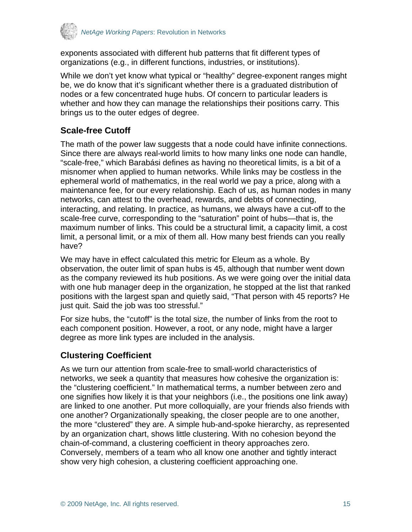<span id="page-14-0"></span>

exponents associated with different hub patterns that fit different types of organizations (e.g., in different functions, industries, or institutions).

While we don't yet know what typical or "healthy" degree-exponent ranges might be, we do know that it's significant whether there is a graduated distribution of nodes or a few concentrated huge hubs. Of concern to particular leaders is whether and how they can manage the relationships their positions carry. This brings us to the outer edges of degree.

### **Scale-free Cutoff**

The math of the power law suggests that a node could have infinite connections. Since there are always real-world limits to how many links one node can handle, "scale-free," which Barabási defines as having no theoretical limits, is a bit of a misnomer when applied to human networks. While links may be costless in the ephemeral world of mathematics, in the real world we pay a price, along with a maintenance fee, for our every relationship. Each of us, as human nodes in many networks, can attest to the overhead, rewards, and debts of connecting, interacting, and relating. In practice, as humans, we always have a cut-off to the scale-free curve, corresponding to the "saturation" point of hubs—that is, the maximum number of links. This could be a structural limit, a capacity limit, a cost limit, a personal limit, or a mix of them all. How many best friends can you really have?

We may have in effect calculated this metric for Eleum as a whole. By observation, the outer limit of span hubs is 45, although that number went down as the company reviewed its hub positions. As we were going over the initial data with one hub manager deep in the organization, he stopped at the list that ranked positions with the largest span and quietly said, "That person with 45 reports? He just quit. Said the job was too stressful."

For size hubs, the "cutoff" is the total size, the number of links from the root to each component position. However, a root, or any node, might have a larger degree as more link types are included in the analysis.

### **Clustering Coefficient**

As we turn our attention from scale-free to small-world characteristics of networks, we seek a quantity that measures how cohesive the organization is: the "clustering coefficient." In mathematical terms, a number between zero and one signifies how likely it is that your neighbors (i.e., the positions one link away) are linked to one another. Put more colloquially, are your friends also friends with one another? Organizationally speaking, the closer people are to one another, the more "clustered" they are. A simple hub-and-spoke hierarchy, as represented by an organization chart, shows little clustering. With no cohesion beyond the chain-of-command, a clustering coefficient in theory approaches zero. Conversely, members of a team who all know one another and tightly interact show very high cohesion, a clustering coefficient approaching one.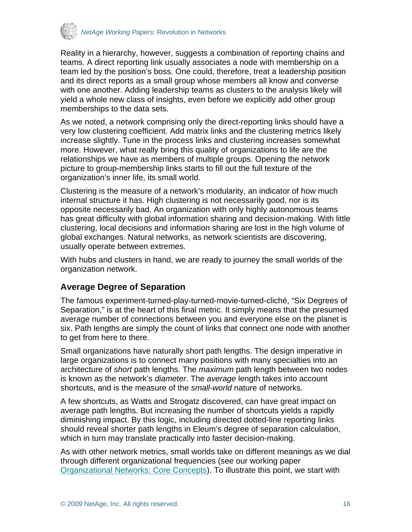<span id="page-15-0"></span>

Reality in a hierarchy, however, suggests a combination of reporting chains and teams. A direct reporting link usually associates a node with membership on a team led by the position's boss. One could, therefore, treat a leadership position and its direct reports as a small group whose members all know and converse with one another. Adding leadership teams as clusters to the analysis likely will yield a whole new class of insights, even before we explicitly add other group memberships to the data sets.

As we noted, a network comprising only the direct-reporting links should have a very low clustering coefficient. Add matrix links and the clustering metrics likely increase slightly. Tune in the process links and clustering increases somewhat more. However, what really bring this quality of organizations to life are the relationships we have as members of multiple groups. Opening the network picture to group-membership links starts to fill out the full texture of the organization's inner life, its small world.

Clustering is the measure of a network's modularity, an indicator of how much internal structure it has. High clustering is not necessarily good, nor is its opposite necessarily bad. An organization with only highly autonomous teams has great difficulty with global information sharing and decision-making. With little clustering, local decisions and information sharing are lost in the high volume of global exchanges. Natural networks, as network scientists are discovering, usually operate between extremes.

With hubs and clusters in hand, we are ready to journey the small worlds of the organization network.

### **Average Degree of Separation**

The famous experiment-turned-play-turned-movie-turned-cliché, "Six Degrees of Separation," is at the heart of this final metric. It simply means that the presumed average number of connections between you and everyone else on the planet is six. Path lengths are simply the count of links that connect one node with another to get from here to there.

Small organizations have naturally short path lengths. The design imperative in large organizations is to connect many positions with many specialties into an architecture of *short* path lengths. The *maximum* path length between two nodes is known as the network's *diameter*. The *average* length takes into account shortcuts, and is the measure of the *small-world* nature of networks.

A few shortcuts, as Watts and Strogatz discovered, can have great impact on average path lengths. But increasing the number of shortcuts yields a rapidly diminishing impact. By this logic, including directed dotted-line reporting links should reveal shorter path lengths in Eleum's degree of separation calculation, which in turn may translate practically into faster decision-making.

As with other network metrics, small worlds take on different meanings as we dial through different organizational frequencies (see our working paper [Organizational Networks: Core Concepts](http://www.netage.com/pub/whpapers/whpapers/WP_Core%20Concepts.pdf)). To illustrate this point, we start with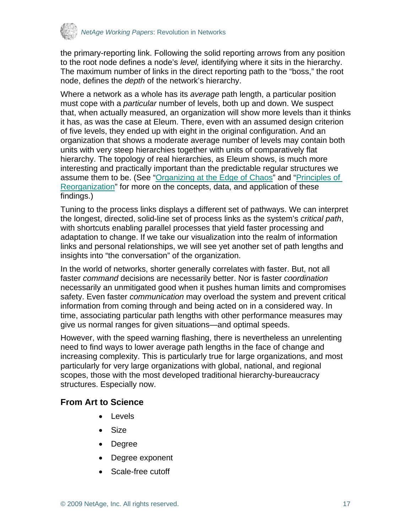<span id="page-16-0"></span>

the primary-reporting link. Following the solid reporting arrows from any position to the root node defines a node's *level,* identifying where it sits in the hierarchy. The maximum number of links in the direct reporting path to the "boss," the root node, defines the *depth* of the network's hierarchy.

Where a network as a whole has its *average* path length, a particular position must cope with a *particular* number of levels, both up and down. We suspect that, when actually measured, an organization will show more levels than it thinks it has, as was the case at Eleum. There, even with an assumed design criterion of five levels, they ended up with eight in the original configuration. And an organization that shows a moderate average number of levels may contain both units with very steep hierarchies together with units of comparatively flat hierarchy. The topology of real hierarchies, as Eleum shows, is much more interesting and practically important than the predictable regular structures we assume them to be. (See ["Organizing at the Edge of Chaos"](http://www.netage.com/pub/whpapers/NAReports/NARpt04-org-at-edge.html) and ["Principles of](http://www.netage.com/pub/whpapers/whpapers/WP_Principles-reorg.pdf)  [Reorganization"](http://www.netage.com/pub/whpapers/whpapers/WP_Principles-reorg.pdf) for more on the concepts, data, and application of these findings.)

Tuning to the process links displays a different set of pathways. We can interpret the longest, directed, solid-line set of process links as the system's *critical path*, with shortcuts enabling parallel processes that yield faster processing and adaptation to change. If we take our visualization into the realm of information links and personal relationships, we will see yet another set of path lengths and insights into "the conversation" of the organization.

In the world of networks, shorter generally correlates with faster. But, not all faster *command* decisions are necessarily better. Nor is faster *coordination* necessarily an unmitigated good when it pushes human limits and compromises safety. Even faster *communication* may overload the system and prevent critical information from coming through and being acted on in a considered way. In time, associating particular path lengths with other performance measures may give us normal ranges for given situations—and optimal speeds.

However, with the speed warning flashing, there is nevertheless an unrelenting need to find ways to lower average path lengths in the face of change and increasing complexity. This is particularly true for large organizations, and most particularly for very large organizations with global, national, and regional scopes, those with the most developed traditional hierarchy-bureaucracy structures. Especially now.

### **From Art to Science**

- Levels
- **Size**
- Degree
- Degree exponent
- Scale-free cutoff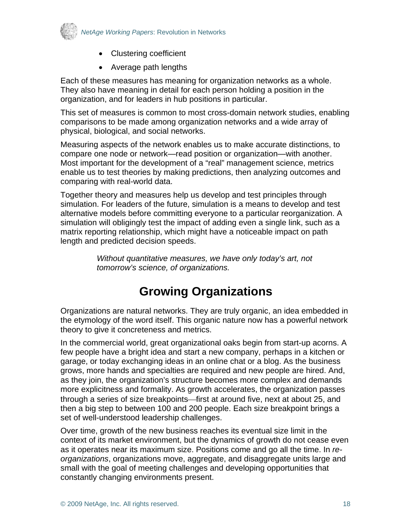<span id="page-17-0"></span>

- Clustering coefficient
- Average path lengths

Each of these measures has meaning for organization networks as a whole. They also have meaning in detail for each person holding a position in the organization, and for leaders in hub positions in particular.

This set of measures is common to most cross-domain network studies, enabling comparisons to be made among organization networks and a wide array of physical, biological, and social networks.

Measuring aspects of the network enables us to make accurate distinctions, to compare one node or network—read position or organization—with another. Most important for the development of a "real" management science, metrics enable us to test theories by making predictions, then analyzing outcomes and comparing with real-world data.

Together theory and measures help us develop and test principles through simulation. For leaders of the future, simulation is a means to develop and test alternative models before committing everyone to a particular reorganization. A simulation will obligingly test the impact of adding even a single link, such as a matrix reporting relationship, which might have a noticeable impact on path length and predicted decision speeds.

> *Without quantitative measures, we have only today's art, not tomorrow's science, of organizations.*

### **Growing Organizations**

Organizations are natural networks. They are truly organic, an idea embedded in the etymology of the word itself. This organic nature now has a powerful network theory to give it concreteness and metrics.

In the commercial world, great organizational oaks begin from start-up acorns. A few people have a bright idea and start a new company, perhaps in a kitchen or garage, or today exchanging ideas in an online chat or a blog. As the business grows, more hands and specialties are required and new people are hired. And, as they join, the organization's structure becomes more complex and demands more explicitness and formality. As growth accelerates, the organization passes through a series of size breakpoints—first at around five, next at about 25, and then a big step to between 100 and 200 people. Each size breakpoint brings a set of well-understood leadership challenges.

Over time, growth of the new business reaches its eventual size limit in the context of its market environment, but the dynamics of growth do not cease even as it operates near its maximum size. Positions come and go all the time. In *reorganizations*, organizations move, aggregate, and disaggregate units large and small with the goal of meeting challenges and developing opportunities that constantly changing environments present.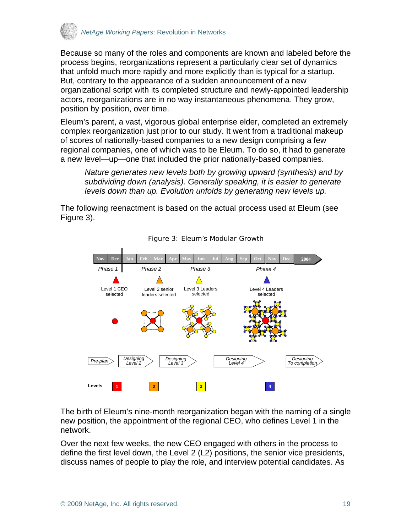

Because so many of the roles and components are known and labeled before the process begins, reorganizations represent a particularly clear set of dynamics that unfold much more rapidly and more explicitly than is typical for a startup. But, contrary to the appearance of a sudden announcement of a new organizational script with its completed structure and newly-appointed leadership actors, reorganizations are in no way instantaneous phenomena. They grow, position by position, over time.

Eleum's parent, a vast, vigorous global enterprise elder, completed an extremely complex reorganization just prior to our study. It went from a traditional makeup of scores of nationally-based companies to a new design comprising a few regional companies, one of which was to be Eleum. To do so, it had to generate a new level—up—one that included the prior nationally-based companies.

*Nature generates new levels both by growing upward (synthesis) and by subdividing down (analysis). Generally speaking, it is easier to generate levels down than up. Evolution unfolds by generating new levels up.* 

The following reenactment is based on the actual process used at Eleum (see Figure 3).



Figure 3: Eleum's Modular Growth

The birth of Eleum's nine-month reorganization began with the naming of a single new position, the appointment of the regional CEO, who defines Level 1 in the network.

Over the next few weeks, the new CEO engaged with others in the process to define the first level down, the Level 2 (L2) positions, the senior vice presidents, discuss names of people to play the role, and interview potential candidates. As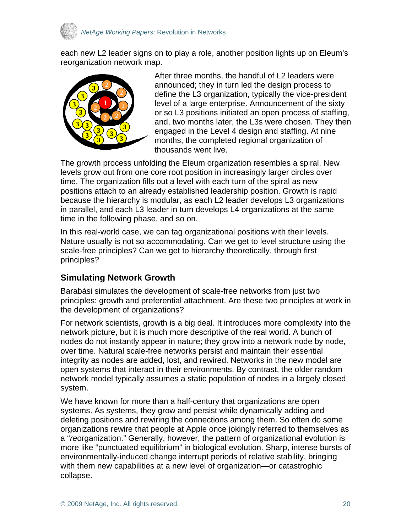<span id="page-19-0"></span>

each new L2 leader signs on to play a role, another position lights up on Eleum's reorganization network map.



After three months, the handful of L2 leaders were announced; they in turn led the design process to define the L3 organization, typically the vice-president level of a large enterprise. Announcement of the sixty or so L3 positions initiated an open process of staffing, and, two months later, the L3s were chosen. They then engaged in the Level 4 design and staffing. At nine months, the completed regional organization of thousands went live.

The growth process unfolding the Eleum organization resembles a spiral. New levels grow out from one core root position in increasingly larger circles over time. The organization fills out a level with each turn of the spiral as new positions attach to an already established leadership position. Growth is rapid because the hierarchy is modular, as each L2 leader develops L3 organizations in parallel, and each L3 leader in turn develops L4 organizations at the same time in the following phase, and so on.

In this real-world case, we can tag organizational positions with their levels. Nature usually is not so accommodating. Can we get to level structure using the scale-free principles? Can we get to hierarchy theoretically, through first principles?

### **Simulating Network Growth**

Barabási simulates the development of scale-free networks from just two principles: growth and preferential attachment. Are these two principles at work in the development of organizations?

For network scientists, growth is a big deal. It introduces more complexity into the network picture, but it is much more descriptive of the real world. A bunch of nodes do not instantly appear in nature; they grow into a network node by node, over time. Natural scale-free networks persist and maintain their essential integrity as nodes are added, lost, and rewired. Networks in the new model are open systems that interact in their environments. By contrast, the older random network model typically assumes a static population of nodes in a largely closed system.

We have known for more than a half-century that organizations are open systems. As systems, they grow and persist while dynamically adding and deleting positions and rewiring the connections among them. So often do some organizations rewire that people at Apple once jokingly referred to themselves as a "*re*organization." Generally, however, the pattern of organizational evolution is more like "punctuated equilibrium" in biological evolution. Sharp, intense bursts of environmentally-induced change interrupt periods of relative stability, bringing with them new capabilities at a new level of organization—or catastrophic collapse.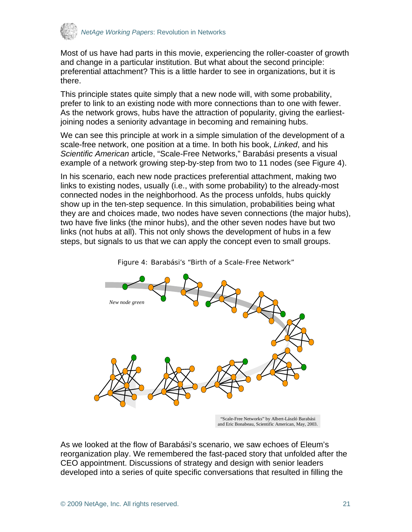

Most of us have had parts in this movie, experiencing the roller-coaster of growth and change in a particular institution. But what about the second principle: preferential attachment? This is a little harder to see in organizations, but it is there.

This principle states quite simply that a new node will, with some probability, prefer to link to an existing node with more connections than to one with fewer. As the network grows, hubs have the attraction of popularity, giving the earliestjoining nodes a seniority advantage in becoming and remaining hubs.

We can see this principle at work in a simple simulation of the development of a scale-free network, one position at a time. In both his book, *Linked*, and his *Scientific American* article, "Scale-Free Networks," Barabási presents a visual example of a network growing step-by-step from two to 11 nodes (see Figure 4).

In his scenario, each new node practices preferential attachment, making two links to existing nodes, usually (i.e., with some probability) to the already-most connected nodes in the neighborhood. As the process unfolds, hubs quickly show up in the ten-step sequence. In this simulation, probabilities being what they are and choices made, two nodes have seven connections (the major hubs), two have five links (the minor hubs), and the other seven nodes have but two links (not hubs at all). This not only shows the development of hubs in a few steps, but signals to us that we can apply the concept even to small groups.





and Eric Bonabeau, Scientific American, May, 2003.

As we looked at the flow of Barabási's scenario, we saw echoes of Eleum's reorganization play. We remembered the fast-paced story that unfolded after the CEO appointment. Discussions of strategy and design with senior leaders developed into a series of quite specific conversations that resulted in filling the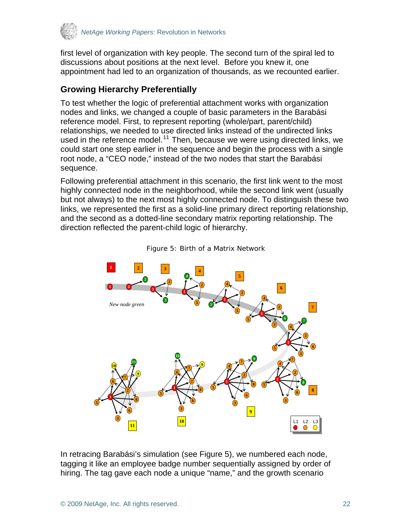<span id="page-21-0"></span>

first level of organization with key people. The second turn of the spiral led to discussions about positions at the next level. Before you knew it, one appointment had led to an organization of thousands, as we recounted earlier.

### **Growing Hierarchy Preferentially**

To test whether the logic of preferential attachment works with organization nodes and links, we changed a couple of basic parameters in the Barabási reference model. First, to represent reporting (whole/part, parent/child) relationships, we needed to use directed links instead of the undirected links used in the reference model.<sup>[11](#page-28-2)</sup> Then, because we were using directed links, we could start one step earlier in the sequence and begin the process with a single root node, a "CEO node," instead of the two nodes that start the Barabási sequence.

Following preferential attachment in this scenario, the first link went to the most highly connected node in the neighborhood, while the second link went (usually but not always) to the next most highly connected node. To distinguish these two links, we represented the first as a solid-line primary direct reporting relationship, and the second as a dotted-line secondary matrix reporting relationship. The direction reflected the parent-child logic of hierarchy.



Figure 5: Birth of a Matrix Network

In retracing Barabási's simulation (see Figure 5), we numbered each node, tagging it like an employee badge number sequentially assigned by order of hiring. The tag gave each node a unique "name," and the growth scenario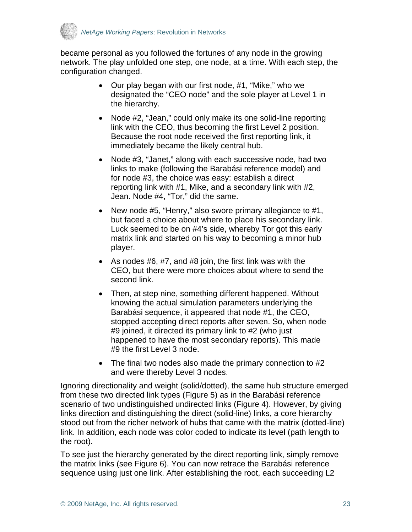

became personal as you followed the fortunes of any node in the growing network. The play unfolded one step, one node, at a time. With each step, the configuration changed.

- Our play began with our first node, #1, "Mike," who we designated the "CEO node" and the sole player at Level 1 in the hierarchy.
- Node #2, "Jean," could only make its one solid-line reporting link with the CEO, thus becoming the first Level 2 position. Because the root node received the first reporting link, it immediately became the likely central hub.
- Node #3, "Janet," along with each successive node, had two links to make (following the Barabási reference model) and for node #3, the choice was easy: establish a direct reporting link with #1, Mike, and a secondary link with #2, Jean. Node #4, "Tor," did the same.
- New node #5, "Henry," also swore primary allegiance to #1, but faced a choice about where to place his secondary link. Luck seemed to be on #4's side, whereby Tor got this early matrix link and started on his way to becoming a minor hub player.
- As nodes #6, #7, and #8 join, the first link was with the CEO, but there were more choices about where to send the second link.
- Then, at step nine, something different happened. Without knowing the actual simulation parameters underlying the Barabási sequence, it appeared that node #1, the CEO, stopped accepting direct reports after seven. So, when node #9 joined, it directed its primary link to #2 (who just happened to have the most secondary reports). This made #9 the first Level 3 node.
- The final two nodes also made the primary connection to #2 and were thereby Level 3 nodes.

Ignoring directionality and weight (solid/dotted), the same hub structure emerged from these two directed link types (Figure 5) as in the Barabási reference scenario of two undistinguished undirected links (Figure 4). However, by giving links direction and distinguishing the direct (solid-line) links, a core hierarchy stood out from the richer network of hubs that came with the matrix (dotted-line) link. In addition, each node was color coded to indicate its level (path length to the root).

To see just the hierarchy generated by the direct reporting link, simply remove the matrix links (see Figure 6). You can now retrace the Barabási reference sequence using just one link. After establishing the root, each succeeding L2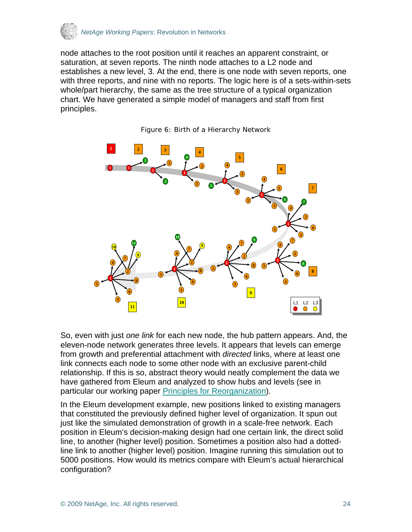

node attaches to the root position until it reaches an apparent constraint, or saturation, at seven reports. The ninth node attaches to a L2 node and establishes a new level, 3. At the end, there is one node with seven reports, one with three reports, and nine with no reports. The logic here is of a sets-within-sets whole/part hierarchy, the same as the tree structure of a typical organization chart. We have generated a simple model of managers and staff from first principles.



Figure 6: Birth of a Hierarchy Network

So, even with just *one link* for each new node, the hub pattern appears. And, the eleven-node network generates three levels. It appears that levels can emerge from growth and preferential attachment with *directed* links, where at least one link connects each node to some other node with an exclusive parent-child relationship. If this is so, abstract theory would neatly complement the data we have gathered from Eleum and analyzed to show hubs and levels (see in particular our working paper [Principles for Reorganization](http://www.netage.com/pub/whpapers/whpapers/WP_Principles-reorg.pdf)).

In the Eleum development example, new positions linked to existing managers that constituted the previously defined higher level of organization. It spun out just like the simulated demonstration of growth in a scale-free network. Each position in Eleum's decision-making design had one certain link, the direct solid line, to another (higher level) position. Sometimes a position also had a dottedline link to another (higher level) position. Imagine running this simulation out to 5000 positions. How would its metrics compare with Eleum's actual hierarchical configuration?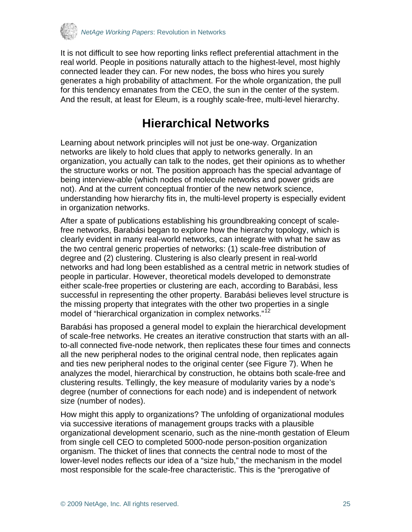<span id="page-24-0"></span>

It is not difficult to see how reporting links reflect preferential attachment in the real world. People in positions naturally attach to the highest-level, most highly connected leader they can. For new nodes, the boss who hires you surely generates a high probability of attachment. For the whole organization, the pull for this tendency emanates from the CEO, the sun in the center of the system. And the result, at least for Eleum, is a roughly scale-free, multi-level hierarchy.

### **Hierarchical Networks**

Learning about network principles will not just be one-way. Organization networks are likely to hold clues that apply to networks generally. In an organization, you actually can talk to the nodes, get their opinions as to whether the structure works or not. The position approach has the special advantage of being interview-able (which nodes of molecule networks and power grids are not). And at the current conceptual frontier of the new network science, understanding how hierarchy fits in, the multi-level property is especially evident in organization networks.

After a spate of publications establishing his groundbreaking concept of scalefree networks, Barabási began to explore how the hierarchy topology, which is clearly evident in many real-world networks, can integrate with what he saw as the two central generic properties of networks: (1) scale-free distribution of degree and (2) clustering. Clustering is also clearly present in real-world networks and had long been established as a central metric in network studies of people in particular. However, theoretical models developed to demonstrate either scale-free properties or clustering are each, according to Barabási, less successful in representing the other property. Barabási believes level structure is the missing property that integrates with the other two properties in a single model of "hierarchical organization in complex networks."<sup>[12](#page-28-2)</sup>

Barabási has proposed a general model to explain the hierarchical development of scale-free networks. He creates an iterative construction that starts with an allto-all connected five-node network, then replicates these four times and connects all the new peripheral nodes to the original central node, then replicates again and ties new peripheral nodes to the original center (see Figure 7). When he analyzes the model, hierarchical by construction, he obtains both scale-free and clustering results. Tellingly, the key measure of modularity varies by a node's degree (number of connections for each node) and is independent of network size (number of nodes).

How might this apply to organizations? The unfolding of organizational modules via successive iterations of management groups tracks with a plausible organizational development scenario, such as the nine-month gestation of Eleum from single cell CEO to completed 5000-node person-position organization organism. The thicket of lines that connects the central node to most of the lower-level nodes reflects our idea of a "size hub," the mechanism in the model most responsible for the scale-free characteristic. This is the "prerogative of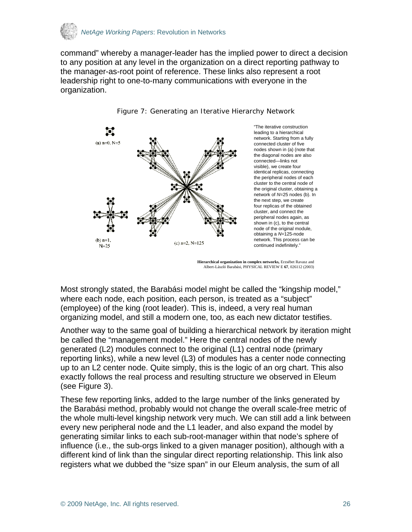

command" whereby a manager-leader has the implied power to direct a decision to any position at any level in the organization on a direct reporting pathway to the manager-as-root point of reference. These links also represent a root leadership right to one-to-many communications with everyone in the organization.



Figure 7: Generating an Iterative Hierarchy Network

**Hierarchical organization in complex networks,** Erzsébet Ravasz and Albert-László Barabási, PHYSICAL REVIEW E **67**, 026112 (2003)

Most strongly stated, the Barabási model might be called the "kingship model," where each node, each position, each person, is treated as a "subject" (employee) of the king (root leader). This is, indeed, a very real human organizing model, and still a modern one, too, as each new dictator testifies.

Another way to the same goal of building a hierarchical network by iteration might be called the "management model." Here the central nodes of the newly generated (L2) modules connect to the original (L1) central node (primary reporting links), while a new level (L3) of modules has a center node connecting up to an L2 center node. Quite simply, this is the logic of an org chart. This also exactly follows the real process and resulting structure we observed in Eleum (see Figure 3).

These few reporting links, added to the large number of the links generated by the Barabási method, probably would not change the overall scale-free metric of the whole multi-level kingship network very much. We can still add a link between every new peripheral node and the L1 leader, and also expand the model by generating similar links to each sub-root-manager within that node's sphere of influence (i.e., the sub-orgs linked to a given manager position), although with a different kind of link than the singular direct reporting relationship. This link also registers what we dubbed the "size span" in our Eleum analysis, the sum of all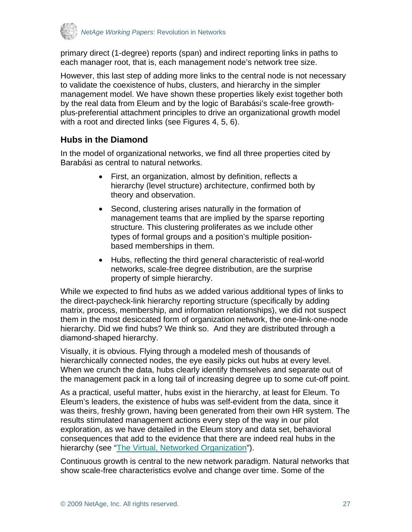<span id="page-26-0"></span>

primary direct (1-degree) reports (span) and indirect reporting links in paths to each manager root, that is, each management node's network tree size.

However, this last step of adding more links to the central node is not necessary to validate the coexistence of hubs, clusters, and hierarchy in the simpler management model. We have shown these properties likely exist together both by the real data from Eleum and by the logic of Barabási's scale-free growthplus-preferential attachment principles to drive an organizational growth model with a root and directed links (see Figures 4, 5, 6).

### **Hubs in the Diamond**

In the model of organizational networks, we find all three properties cited by Barabási as central to natural networks.

- First, an organization, almost by definition, reflects a hierarchy (level structure) architecture, confirmed both by theory and observation.
- Second, clustering arises naturally in the formation of management teams that are implied by the sparse reporting structure. This clustering proliferates as we include other types of formal groups and a position's multiple positionbased memberships in them.
- Hubs, reflecting the third general characteristic of real-world networks, scale-free degree distribution, are the surprise property of simple hierarchy.

While we expected to find hubs as we added various additional types of links to the direct-paycheck-link hierarchy reporting structure (specifically by adding matrix, process, membership, and information relationships), we did not suspect them in the most desiccated form of organization network, the one-link-one-node hierarchy. Did we find hubs? We think so. And they are distributed through a diamond-shaped hierarchy.

Visually, it is obvious. Flying through a modeled mesh of thousands of hierarchically connected nodes, the eye easily picks out hubs at every level. When we crunch the data, hubs clearly identify themselves and separate out of the management pack in a long tail of increasing degree up to some cut-off point.

As a practical, useful matter, hubs exist in the hierarchy, at least for Eleum. To Eleum's leaders, the existence of hubs was self-evident from the data, since it was theirs, freshly grown, having been generated from their own HR system. The results stimulated management actions every step of the way in our pilot exploration, as we have detailed in the Eleum story and data set, behavioral consequences that add to the evidence that there are indeed real hubs in the hierarchy (see ["The Virtual, Networked Organization"](http://www.netage.com/pub/articles/articles%20-%20new/Virtual%20Networked%20Org_pg-proof.pdfhttp:/www.netage.com/pub/articles/articles%20-%20new/Virtual%20Networked%20Org_pg-proof.pdf)).

Continuous growth is central to the new network paradigm. Natural networks that show scale-free characteristics evolve and change over time. Some of the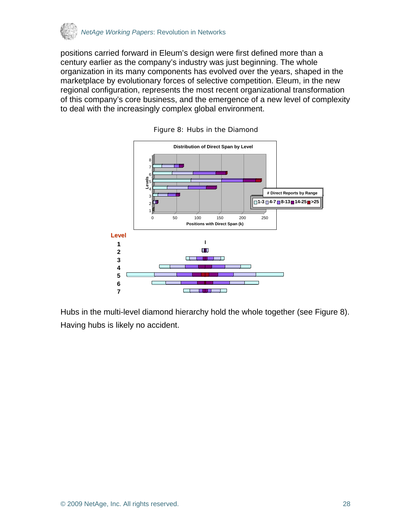

positions carried forward in Eleum's design were first defined more than a century earlier as the company's industry was just beginning. The whole organization in its many components has evolved over the years, shaped in the marketplace by evolutionary forces of selective competition. Eleum, in the new regional configuration, represents the most recent organizational transformation of this company's core business, and the emergence of a new level of complexity to deal with the increasingly complex global environment.



Figure 8: Hubs in the Diamond

Hubs in the multi-level diamond hierarchy hold the whole together (see Figure 8). Having hubs is likely no accident.